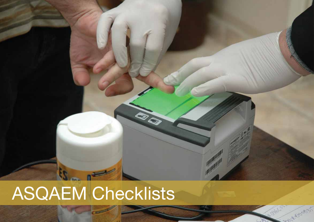## ASQAEM Checklists

**RO** 

Robert

John Construction

ASQAEM Final Report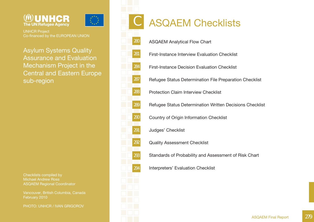



UNHCR Project Co-financed by the EUROPEAN UNION

Asylum Systems Quality Assurance and Evaluation Mechanism Project in the Central and Eastern Europe sub-region

Checklists compiled by Michael Andrew Ross ASQAEM Regional Coordinator

Vancouver, British Columbia, Canada February 2010

PHOTO: UNHCR / IVAN GRIGOROV

### ASQAEM Checklists

ASQAEM Analytical Flow Chart

280

C

281

284

287

288

289

290

291

292

293

294

First-Instance Interview Evaluation Checklist

First-Instance Decision Evaluation Checklist

Refugee Status Determination File Preparation Checklist

Protection Claim Interview Checklist

Refugee Status Determination Written Decisions Checklist

Country of Origin Information Checklist

Judges' Checklist

Quality Assessment Checklist

Standards of Probability and Assessment of Risk Chart

Interpreters' Evaluation Checklist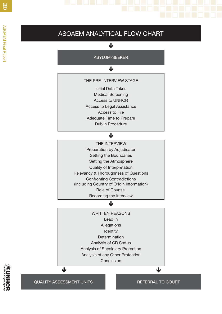# ASQAEM ANALYTICAL FLOW CHART

 $\overline{\mathbf{V}}$ 

#### THE PRE-INTERVIEW STAGE

Initial Data TakenMedical Screening Access to UNHCRAccess to Legal Assistance Access to File Adequate Time to Prepare Dublin Procedure

#### $\overline{\mathbf{V}}$

THE INTERVIEWPreparation by Adjudicator Setting the Boundaries Setting the Atmosphere Quality of Interpretation Relevancy & Thoroughness of Questions Confronting Contradictions (Including Country of Origin Information) Role of Counsel Recording the Interview

#### $\mathbf \cdot$

WRITTEN REASONSLead InAllegations **Identity** Determination Analysis of CR Status Analysis of Subsidiary Protection Analysis of any Other Protection Conclusion

QUALITY ASSESSMENT UNITS AND REFERRAL TO COURT

 $\overline{\mathbf{V}}$ 

业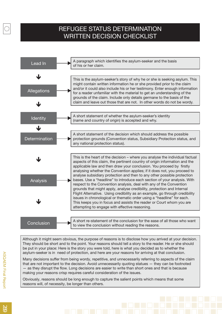#### REFUGEE STATUS DETERMINATION WRITTEN DECISION CHECKLIST



Although it might seem obvious, the purpose of reasons is to disclose how you arrived at your decision. They should be short and to the point. Your reasons should tell a story to the reader. He or she should be put in your place: Here is the story you were told, here is what you decided as to whether the asylum-seeker is in need of protection, and here are your reasons for arriving at that conclusion.

Many decisions suffer from being wordy, repetitive, and unnecessarily referring to aspects of the claim that are not important to the decision. Avoid unnecessarily quoting statues — they can be footnoted — as they disrupt the flow. Long decisions are easier to write than short ones and that is because making your reasons crisp requires careful consideration of the issues.

Obviously, reasons should be long enough to capture the salient points which means that some reasons will, of necessity, be longer than others.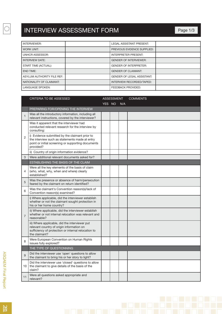| INTERVIEWER:               | <b>LEGAL ASSISTANT PRESENT:</b>   |
|----------------------------|-----------------------------------|
| WORK UNIT:                 | PREVIOUS EVIDENCE SUPPLIED:       |
| <b>UNHCR ASSESSOR:</b>     | <b>INTERPRETER PRESENT:</b>       |
| <b>INTERVIEW DATE:</b>     | <b>GENDER OF INTERVIEWER:</b>     |
| START TIME (ACTUAL):       | <b>GENDER OF INTERPRETER:</b>     |
| <b>END TIME:</b>           | <b>GENDER OF CLAIMANT:</b>        |
| ASYLUM AUTHORITY FILE REF: | <b>GENDER OF LEGAL ASSISTANT:</b> |
| NATIONALITY OF CLAIMANT:   | INTERVIEW RECORDED/TAPED:         |
| <b>LANGUAGE SPOKEN:</b>    | <b>FEEDBACK PROVIDED:</b>         |

|                | <b>CRITERIA TO BE ASSESSED</b>                                                                                                                                      | <b>ASSESSMENT</b> |  |     | <b>COMMENTS</b> |
|----------------|---------------------------------------------------------------------------------------------------------------------------------------------------------------------|-------------------|--|-----|-----------------|
|                |                                                                                                                                                                     | YES NO            |  | N/A |                 |
|                | PREPARING FOR/OPENING THE INTERVIEW                                                                                                                                 |                   |  |     |                 |
| $\mathbf{1}$   | Was all the introductory information, including all<br>relevant instructions, covered by the interviewer?                                                           |                   |  |     |                 |
|                | Was it apparent that the interviewer had<br>conducted relevant research for the interview by<br>consulting:                                                         |                   |  |     |                 |
| $\overline{2}$ | i) Evidence submitted by the claimant prior to<br>the interview such as statements made at entry<br>point or initial screening or supporting documents<br>provided? |                   |  |     |                 |
|                | ii) Country of origin information evidence?                                                                                                                         |                   |  |     |                 |
| 3              | Were additional relevant documents asked for?                                                                                                                       |                   |  |     |                 |
|                | ESTABLISHING THE BASIS OF THE CLAIM                                                                                                                                 |                   |  |     |                 |
| 4              | Were all the key elements of the basis of claim<br>(who, what, why, when and where) clearly<br>established?                                                         |                   |  |     |                 |
| 5              | Was the presence or absence of harm/persecution<br>feared by the claimant on return identified?                                                                     |                   |  |     |                 |
| 6              | Was the claimant's Convention reason(s)/lack of<br>Convention reason(s) examined?                                                                                   |                   |  |     |                 |
|                | i) Where applicable, did the interviewer establish<br>whether or not the claimant sought protection in<br>his or her home country?                                  |                   |  |     |                 |
| $\overline{7}$ | ii) Where applicable, did the interviewer establish<br>whether or not internal relocation was relevant and<br>reasonable?                                           |                   |  |     |                 |
|                | iii) Where applicable, did the interviewer put<br>relevant country of origin information on<br>sufficiency of protection or internal relocation to<br>the claimant? |                   |  |     |                 |
| 8              | Were European Convention on Human Rights<br>issues fully explored?                                                                                                  |                   |  |     |                 |
|                | THE TYPE OF QUESTIONNING                                                                                                                                            |                   |  |     |                 |
| 9              | Did the interviewer use 'open' questions to allow<br>the claimant to bring his or her story to light?                                                               |                   |  |     |                 |
| 10             | Did the interviewer use 'closed' questions to allow<br>the claimant to give details of the basis of the<br>claim?                                                   |                   |  |     |                 |
| 11             | Were all questions asked appropriate and<br>relevant?                                                                                                               |                   |  |     |                 |

 $\begin{array}{c} \ast \ast \ast \\ \ast \ast \ast \\ \ast \ast \ast \ast \end{array}$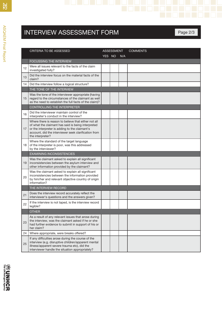|    | <b>INTERVIEW ASSESSMENT FORM</b>                                                                                                                                                                                                         |                   |                 | Page 2/3 |
|----|------------------------------------------------------------------------------------------------------------------------------------------------------------------------------------------------------------------------------------------|-------------------|-----------------|----------|
|    |                                                                                                                                                                                                                                          |                   |                 |          |
|    | CRITERIA TO BE ASSESSED                                                                                                                                                                                                                  | <b>ASSESSMENT</b> | <b>COMMENTS</b> |          |
|    |                                                                                                                                                                                                                                          | YES NO N/A        |                 |          |
|    | FOCUSSING THE INTERVIEW                                                                                                                                                                                                                  |                   |                 |          |
| 12 | Were all issues relevant to the facts of the claim<br>investigated fully?                                                                                                                                                                |                   |                 |          |
| 13 | Did the interview focus on the material facts of the<br>claim?                                                                                                                                                                           |                   |                 |          |
| 14 | Did the interview follow a logical structure?                                                                                                                                                                                            |                   |                 |          |
|    | THE TONE OF THE INTERVIEW                                                                                                                                                                                                                |                   |                 |          |
| 15 | Was the tone of the interviewer appropriate (having<br>regard to the circumstances of the claimant as well<br>as the need to establish the full facts of the claim)?                                                                     |                   |                 |          |
|    | <b>CONTROLLING THE INTERPRETER</b>                                                                                                                                                                                                       |                   |                 |          |
| 16 | Did the interviewer maintain control of the<br>interpreter's conduct in the interview?                                                                                                                                                   |                   |                 |          |
| 17 | Where there is reason to believe that either not all<br>of what the claimant has said is being interpreted<br>or the interpreter is adding to the claimant's<br>account, did the interviewer seek clarification from<br>the interpreter? |                   |                 |          |
| 18 | Where the standard of the target language<br>of the interpreter is poor, was this addressed<br>by the interviewer?                                                                                                                       |                   |                 |          |
|    | <b>EXAMINING INCONSISTENCIES</b>                                                                                                                                                                                                         |                   |                 |          |
| 19 | Was the claimant asked to explain all significant<br>inconsistencies between the asylum interview and<br>other information provided by the claimant?                                                                                     |                   |                 |          |
| 20 | Was the claimant asked to explain all significant<br>inconsistencies between the information provided<br>by him/her and relevant objective country of origin<br>information?                                                             |                   |                 |          |
|    | THE INTERVIEW RECORD                                                                                                                                                                                                                     |                   |                 |          |
| 21 | Does the interview record accurately reflect the<br>interviewer's questions and the answers given?                                                                                                                                       |                   |                 |          |
| 22 | If the interview is not taped, is the interview record<br>legible?                                                                                                                                                                       |                   |                 |          |
|    | <b>OTHER</b>                                                                                                                                                                                                                             |                   |                 |          |
| 23 | As a result of any relevant issues that arose during<br>the interview, was the claimant asked if he or she<br>had further evidence to submit in support of his or<br>her claim?                                                          |                   |                 |          |
| 24 | Where appropriate, were breaks offered?                                                                                                                                                                                                  |                   |                 |          |
| 25 | If any difficulties arose during the course of the<br>interview (e.g. disruptive children/apparent mental<br>illness/apparent severe trauma etc), did the<br>interviewer handle the situation appropriately?                             |                   |                 |          |

**WUNHCR**<br>**WUNHCR**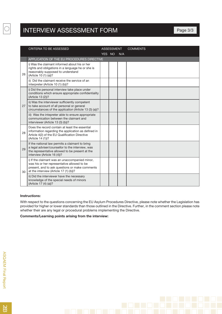|    | <b>CRITERIA TO BE ASSESSED</b>                                                                                                                                                            |        | <b>ASSESSMENT</b> |     | <b>COMMENTS</b> |
|----|-------------------------------------------------------------------------------------------------------------------------------------------------------------------------------------------|--------|-------------------|-----|-----------------|
|    |                                                                                                                                                                                           | YES NO |                   | N/A |                 |
|    | APPLICATION OF THE EU PROCEDURES DIRECTIVE                                                                                                                                                |        |                   |     |                 |
| 26 | i) Was the claimant informed about his or her<br>rights and obligations in a language he or she is<br>reasonably supposed to understand<br>(Article 10 (1) (a))?                          |        |                   |     |                 |
|    | ii) Did the claimant receive the service of an<br>interpreter (Article 10 (1) (b))?                                                                                                       |        |                   |     |                 |
|    | i) Did the personal interview take place under<br>conditions which ensure appropriate confidentiality<br>(Article 13 (2))?                                                                |        |                   |     |                 |
| 27 | ii) Was the interviewer sufficiently competent<br>to take account of all personal or general<br>circumstances of the application (Article 13 (3) (a))?                                    |        |                   |     |                 |
|    | iii) Was the intepreter able to ensure appropriate<br>communication between the claimant and<br>interviewer (Article 13 (3) (b))?                                                         |        |                   |     |                 |
| 28 | Does the record contain at least the essential<br>information regarding the application as defined in<br>Article 4(2) of the EU Qualification Directive<br>(Article 14 (1))?              |        |                   |     |                 |
| 29 | If the national law permits a claimant to bring<br>a legal adviser/counsellor to the interview, was<br>the representative allowed to be present at the<br>interview (Article 16 (4))?     |        |                   |     |                 |
| 30 | i) If the claimant was an unaccompanied minor,<br>was his or her representative allowed to be<br>present, and to ask questions or make comments<br>at the interview (Article 17 (1) (b))? |        |                   |     |                 |
|    | ii) Did the interviewer have the necessary<br>knowledge of the special needs of minors<br>(Article 17 (4) (a))?                                                                           |        |                   |     |                 |

#### **Instructions:**

With respect to the questions concerning the EU Asylum Procedures Directive, please note whether the Legislation has provided for higher or lower standards than those outlined in the Directive. Further, in the comment section please note whether their are any legal or procedural problems implementing the Directive.

**Comments/Learning points arising from the interview:**

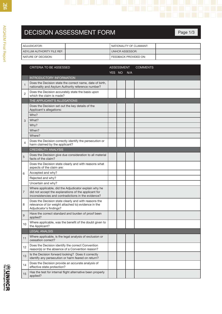| <b>DECISION ASSESSMENT FORM</b> |                          | Page 1/3 |
|---------------------------------|--------------------------|----------|
| ADJUDICATOR:                    | NATIONALITY OF CLAIMANT: |          |
| ASYLUM AUTHORITY FILE REF:      | <b>UNHCR ASSESSOR:</b>   |          |
| NATURE OF DECISION:             | FEEDBACK PROVIDED ON:    |          |

|                | <b>CRITERIA TO BE ASSESSED</b>                                                                                                                                      |        | <b>ASSESSMENT</b> |     | <b>COMMENTS</b> |
|----------------|---------------------------------------------------------------------------------------------------------------------------------------------------------------------|--------|-------------------|-----|-----------------|
|                |                                                                                                                                                                     | YES NO |                   | N/A |                 |
|                | <b>INTRODUCTORY INFORMATION</b>                                                                                                                                     |        |                   |     |                 |
| $\mathbf{1}$   | Does the Decision state the correct name, date of birth,<br>nationality and Asylum Authority reference number?                                                      |        |                   |     |                 |
| $\overline{2}$ | Does the Decision accurately state the basis upon<br>which the claim is made?                                                                                       |        |                   |     |                 |
|                | THE APPLICANT'S ALLEGATIONS                                                                                                                                         |        |                   |     |                 |
|                | Does the Decision set out the key details of the<br>Applicant's allegations:                                                                                        |        |                   |     |                 |
|                | Who?                                                                                                                                                                |        |                   |     |                 |
| 3              | What?                                                                                                                                                               |        |                   |     |                 |
|                | Why?                                                                                                                                                                |        |                   |     |                 |
|                | When?                                                                                                                                                               |        |                   |     |                 |
|                | Where?                                                                                                                                                              |        |                   |     |                 |
| $\overline{4}$ | Does the Decision correctly identify the persecution or<br>harm claimed by the applicant?                                                                           |        |                   |     |                 |
|                | <b>CREDIBILITY ANALYSIS</b>                                                                                                                                         |        |                   |     |                 |
| 5              | Does the Decision give due consideration to all material<br>facts of the claim?                                                                                     |        |                   |     |                 |
|                | Does the Decision state clearly and with reasons what<br>aspects of the claim are:                                                                                  |        |                   |     |                 |
| 6              | Accepted and why?                                                                                                                                                   |        |                   |     |                 |
|                | Rejected and why?                                                                                                                                                   |        |                   |     |                 |
|                | Uncertain and why?                                                                                                                                                  |        |                   |     |                 |
| $\overline{7}$ | Where applicable, did the Adjudicator explain why he<br>did not accept the explanations of the applicant for<br>inconsistencies and contradictions in the evidence? |        |                   |     |                 |
| 8              | Does the Decision state clearly and with reasons the<br>relevance of (or weight attached to) evidence in the<br>Adjudicator's findings?                             |        |                   |     |                 |
| 9              | Have the correct standard and burden of proof been<br>applied?                                                                                                      |        |                   |     |                 |
| 10             | Where applicable, was the benefit of the doubt given to<br>the Applicant?                                                                                           |        |                   |     |                 |
|                | <b>LEGAL ANALSIS</b>                                                                                                                                                |        |                   |     |                 |
| 11             | Where applicable, is the legal analysis of exclusion or<br>cessation correct?                                                                                       |        |                   |     |                 |
| 12             | Does the Decision identify the correct Convention<br>reason(s) or the absence of a Convention reason?                                                               |        |                   |     |                 |
| 13             | Is the Decision forward looking? Does it correctly<br>identify any persecution or harm feared on return?                                                            |        |                   |     |                 |
| 14             | Does the Decision provide an accurate analysis of<br>effective state protection?                                                                                    |        |                   |     |                 |
| 15             | Has the test for internal flight alternative been properly<br>applied?                                                                                              |        |                   |     |                 |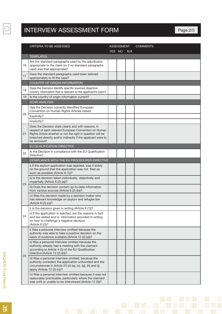iii) Was a personal interview omitted, because the authority considers the application unfounded and the circumstances in Article 23 (4) (a), (c), (g), (h) and (j)

iv) Was a personal interview omitted because it was not reasonably practicable, particularly where the claimant was unfit or unable to be interviewed (Article 12 (3))?

apply (Article 12 (2) (c))?

|    | <b>CRITERIA TO BE ASSESSED</b>                                                                                                                                                                                                                              |        | <b>ASSESSMENT</b> |     | <b>COMMENTS</b> |
|----|-------------------------------------------------------------------------------------------------------------------------------------------------------------------------------------------------------------------------------------------------------------|--------|-------------------|-----|-----------------|
|    |                                                                                                                                                                                                                                                             | YES NO |                   | N/A |                 |
|    | <b>TEMPLATES</b>                                                                                                                                                                                                                                            |        |                   |     |                 |
| 16 | Are the standard paragraphs used by the adjudicator<br>appropriate to the claim (or if no standard paragraphs<br>used was that appropriate)?                                                                                                                |        |                   |     |                 |
| 17 | Have the standard paragraphs used been tailored<br>appropriately to fit the case?                                                                                                                                                                           |        |                   |     |                 |
|    | <b>COUNTRY OF ORIGIN INFORMATION</b>                                                                                                                                                                                                                        |        |                   |     |                 |
| 18 | Does the Decision identify specific sourced objective<br>country information that is relevant to the applicant's claim?                                                                                                                                     |        |                   |     |                 |
| 19 | Is the country of origin information current?                                                                                                                                                                                                               |        |                   |     |                 |
|    | <b>ECHR ANALYSIS</b>                                                                                                                                                                                                                                        |        |                   |     |                 |
|    | Has the Decision correctly identified European<br>Convention on Human Rights Articles raised:                                                                                                                                                               |        |                   |     |                 |
| 20 | Explicitly?                                                                                                                                                                                                                                                 |        |                   |     |                 |
|    | Implicitly?                                                                                                                                                                                                                                                 |        |                   |     |                 |
| 21 | Does the Decision state clearly and with reasons, in<br>respect of each relevant European Convention on Human<br>Rights Article whether or not the right in question will be<br>breached directly and/or indirectly if the applicant were to<br>be removed? |        |                   |     |                 |
|    | EU QUALIFICATION DIRECTIVE                                                                                                                                                                                                                                  |        |                   |     |                 |
| 22 | Is the Decision in compliance with the EU Qualification<br>Directive?                                                                                                                                                                                       |        |                   |     |                 |
|    | COMPLIANCE WITH THE EU PROCEDURES DIRECTIVE                                                                                                                                                                                                                 |        |                   |     |                 |
|    | i) If the asylum application was rejected, was it solely<br>on the ground that the application was not filed as<br>soon as possible (Article 8 (1))?                                                                                                        |        |                   |     |                 |
| 23 | ii) Is the decision taken individually, objectively and<br>impartially (Article 8 (2) (a))?                                                                                                                                                                 |        |                   |     |                 |
|    | iii) Does the decision contain up-to-date information<br>from various sources (Article 8 (2) (b))?                                                                                                                                                          |        |                   |     |                 |
|    | iv) Was the decision made by a decision maker who<br>has relevant knowledge on asylum and refugee law<br>(Article 8 (2) (c))?                                                                                                                               |        |                   |     |                 |
|    | i) Is the decision given in writing (Article 9 (1))?                                                                                                                                                                                                        |        |                   |     |                 |
| 24 | ii) If the application is rejected, are the reasons in fact<br>and law stated and is information provided in writing<br>on how to challenge a negative decision<br>(Article 9 (2))?                                                                         |        |                   |     |                 |
|    | i) Was a personal interview omitted because the<br>authority was able to take a positive decision on the<br>basis of evidence available (Article 12 (2) (a))?                                                                                               |        |                   |     |                 |
| 25 | ii) Was a personal interview omitted because the<br>authority already had a meeting with the claimant<br>according to Article 4 (2) of the EU Qualification<br>Directive (Article 12 (2) (b))?                                                              |        |                   |     |                 |
|    |                                                                                                                                                                                                                                                             |        |                   |     |                 |

**ASQAEM Final Report** 285 ASQAEM Final Report

 $\begin{bmatrix} \mathbf{y}^{k+1} \\ \mathbf{y}^{k+1} \\ \mathbf{y}^{k+1} \end{bmatrix}$ 

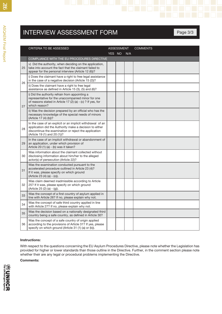|    | <b>INTERVIEW ASSESSMENT FORM</b>                                                                                                                                                                               |        |            |     |                 | Page 3/3 |
|----|----------------------------------------------------------------------------------------------------------------------------------------------------------------------------------------------------------------|--------|------------|-----|-----------------|----------|
|    |                                                                                                                                                                                                                |        |            |     |                 |          |
|    | <b>CRITERIA TO BE ASSESSED</b>                                                                                                                                                                                 | YES NO | ASSESSMENT | N/A | <b>COMMENTS</b> |          |
|    | COMPLIANCE WITH THE EU PROCEDURES DIRECTIVE                                                                                                                                                                    |        |            |     |                 |          |
| 25 | v) Did the authority, when deciding on the application,<br>take into account the fact that the claimant failed to<br>appear for the personal interview (Article 12 (6))?                                       |        |            |     |                 |          |
|    | i) Does the claimant have a right to free legal assistance<br>in the case of a negative decision (Article 15 (2))?                                                                                             |        |            |     |                 |          |
| 26 | ii) Does the claimant have a right to free legal<br>assistance as defined in Article 15 (3), (5) and (6)?                                                                                                      |        |            |     |                 |          |
| 27 | i) Did the authority refrain from appointing a<br>representative for the unaccompanied minor for one<br>of reasons stated in Article 17 (2) (a) - (c) ? If yes, for<br>which reason?                           |        |            |     |                 |          |
|    | ii) Was the decision prepared by an official who has the<br>necessary knowledge of the special needs of minors<br>(Article 17 (4) (b))?                                                                        |        |            |     |                 |          |
| 28 | In the case of an explicit or an implicit withdrawal of an<br>application did the Authority make a decision to either<br>discontinue the examination or reject the application<br>(Article 19 (1) and 20 (1))? |        |            |     |                 |          |
| 29 | In the case of an implicit withdrawal or abandonment of<br>an application, under which provision of<br>Article 20 (1) (a) - (b) was it taken?                                                                  |        |            |     |                 |          |
| 30 | Was information about the claimant collected without<br>disclosing information about him/her to the alleged<br>actor(s) of persecution (Article 22)?                                                           |        |            |     |                 |          |
| 31 | Was the examination conducted pursuant to the<br>accelerated procedure outlined in Article 23 (4)?<br>If it was, please specify on which ground<br>(Article 23 (4) (a) - (o)).                                 |        |            |     |                 |          |
| 32 | Was claim deemed inadmissible according to Article<br>25? If it was, please specify on which ground<br>(Article 25 (2) (a) - (g)).                                                                             |        |            |     |                 |          |
| 33 | Was the concept of a first country of asylum applied in<br>line with Article 26? If no, please explain why not.                                                                                                |        |            |     |                 |          |
| 34 | Was the concept of safe third country applied in line<br>with Article 27? If no, please explain why not.                                                                                                       |        |            |     |                 |          |
| 35 | Was the decision based on a nationally designated third<br>country being a safe country, as defined in Article 30?                                                                                             |        |            |     |                 |          |
| 36 | Was the concept of a safe country of origin applied<br>according to the provisions of Article 31? If yes, please<br>specify on which ground (Article 31 (1) (a) or (b)).                                       |        |            |     |                 |          |

#### **Instructions:**

With respect to the questions concerning the EU Asylum Procedures Directive, please note whether the Legislation has provided for higher or lower standards than those outline in the Directive. Further, in the comment section please note whether their are any legal or procedural problems implementing the Directive.

**Comments:**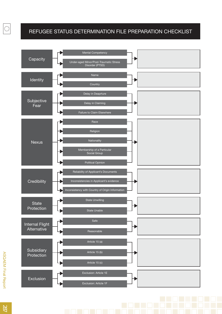#### REFUGEE STATUS DETERMINATION FILE PREPARATION CHECKLIST



 $\begin{bmatrix} \mathbf{y}^{(k+1)} \\ \mathbf{y}^{(k)} \\ \mathbf{y}^{(k)} \\ \mathbf{y}^{(k)} \end{bmatrix}$ 

287 ASQAEM Final Report 187

**ASQAEM Final Report**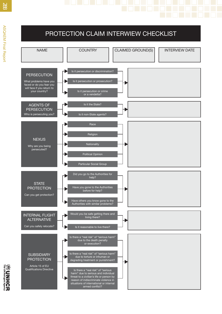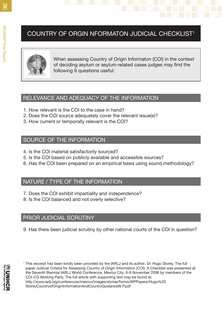# COUNTRY OF ORGIN NFORMATON JUDICIAL CHECKLIST<sup>1</sup><br>
The proport Country of Origin Informaton (COI) in the context<br>
When assessing Country of Origin Informaton (COI) in the context



of deciding asylum or asylum-related cases judges may find the following 9 questions useful:

#### RELEVANCE AND ADEQUACY OF THE INFORMATION

- 1. How relevant is the COI to the case in hand?
- 2. Does the COI source adequately cover the relevant issue(s)?
- 3. How current or temporally relevant is the COI?

#### SOURCE OF THE INFORMATION

- 4. Is the COI material satisfactorily sourced?
- 5. Is the COI based on publicly available and accessible sources?
- 6. Has the COI been prepared on an empirical basis using sound methodology?

#### NATURE / TYPE OF THE INFORMATION

- 7. Does the COI exhibit impartiality and independence?
- 8. Is the COI balanced and not overly selective?

#### PRIOR JUDICIAL SCRUTINY

9. Has there been judicial scrutiny by other national courts of the COI in question?

1 This excerpt has been kindly been provided by the IARLJ and its author, Dr. Hugo Storey. The full paper Judicial Criteria for Assessing Country of Origin Information (COI): A Checklist was presented at the Seventh Biennial IARLJ World Conference, Mexico City, 6-9 November 2006 by members of the COI-CG Working Party. The full article with supporting text may be found at: http://www.iarlj.org/conferences/mexico/images/stories/forms/WPPapers/Hugo%20 StoreyCountryofOriginInformationAndCountryGuidanceW P.pdf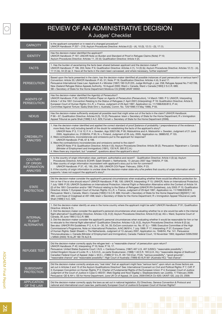#### REVIEW OF AN ADMINISTRATIVE DECISION A Judges' Checklist

| <b>CAPACITY</b>                                                             | Is the applicant competent or in need of a changed procedure?<br>UNHCR Handbook: P 207 - 219; Asylum Procedures Directive: Articles 6 (2) - (4), 10 (3), 12 (1) - (3), 17 (1).                                                                                                                                                                                                                                                                                                                                                                                                                                                                                                                                                                                                                                                                                                                                                                                                                                                                                                                                                                                                                                                                                                                                                                                                                |
|-----------------------------------------------------------------------------|-----------------------------------------------------------------------------------------------------------------------------------------------------------------------------------------------------------------------------------------------------------------------------------------------------------------------------------------------------------------------------------------------------------------------------------------------------------------------------------------------------------------------------------------------------------------------------------------------------------------------------------------------------------------------------------------------------------------------------------------------------------------------------------------------------------------------------------------------------------------------------------------------------------------------------------------------------------------------------------------------------------------------------------------------------------------------------------------------------------------------------------------------------------------------------------------------------------------------------------------------------------------------------------------------------------------------------------------------------------------------------------------------|
| <b>IDENTITY</b>                                                             | Has the decision-maker identified the applicant?<br>UNHCR Handbook: P 197; UNCHR Note on Burden and Standard of Proof in Refugee Claims (Note): P 10;<br>Asylum Procedures Directive: Articles 11, 23 (4); Qualification Directive: Article 4 (2).                                                                                                                                                                                                                                                                                                                                                                                                                                                                                                                                                                                                                                                                                                                                                                                                                                                                                                                                                                                                                                                                                                                                            |
| <b>FACTS</b>                                                                | 1. Has the burden of ascertaining the facts been shared between applicant and the decision-maker?<br>UNHCR Handbook: P 196, 203; Note: P 6; Qualification Directive: Articles 4 (1), 14 (3) (b); Asylum Procedures Directive: Articles 12 (1) - (4),<br>17 (1) (b), 34 (2) (a); 2. Have all the facts in the claim been canvassed, and where necessary, further explored?                                                                                                                                                                                                                                                                                                                                                                                                                                                                                                                                                                                                                                                                                                                                                                                                                                                                                                                                                                                                                     |
| <b>PERSECUTION</b>                                                          | Based upon the facts presented in the claim, has the decision-maker identified all possible instances of past persecution or serious harm?<br>Convention: Article 33; UNHCR Handbook: P 45. 51; Note: P 19; Qualification Directive: Articles 4 (4), 9 and 17.<br>Persuasive International Case Law: Applicant A v Minister (1997) 190 CLR 225, Judge McHugh J, par. 258; Refugee Appeal No.71427/99,<br>New Zealand Refugee Status Appeals Authority, 16 August 2000; Ward v. Canada, Ward v Canada [1993] 2 S.C.R. 689;<br>SB v Secretary of State for the Home Department Moldova CG [2008] UKIAT 00002.                                                                                                                                                                                                                                                                                                                                                                                                                                                                                                                                                                                                                                                                                                                                                                                   |
| <b>AGENTS OF</b><br><b>PERSECUTION</b>                                      | Has the decision-maker identified the Agent(s) of Persecution?<br>UNHCR Handbook: P 65; UNHCR Position Paper on Agents of Persecution (Persecution), 14 March 1995: P 3; UNHCR, Interpreting<br>Article 1 of the 1951 Convention Relating to the Status of Refugees (1 April 2001) (Interpreting): P 19; Qualification Directive: Article 6;<br>European Court of Human Rights: H.L.R. v. France, Judgment of 29 April 1997, Application no. 11/1996/630/813, P 44;<br>Committee Against Torture: Sadiq Shek Elmi v. Australia, Comm. No. 120/1998 (14 May 1999), P 65.                                                                                                                                                                                                                                                                                                                                                                                                                                                                                                                                                                                                                                                                                                                                                                                                                       |
| <b>NEXUS</b>                                                                | Has the decision-maker sufficiently analysed all possible nexii that might arise out of the facts in the claim? UNHCR Handbook:<br>P 66 - 67; Qualification Directive: Articles 9 (3), 10 (2); Persuasive: Islam v Secretary of State for the Home Department; R v Immigration<br>Appeal Tribunal ex parte Shah [1999] 2 A.C. 629; Fornah v. Secretary of State for the Home Department (2006).                                                                                                                                                                                                                                                                                                                                                                                                                                                                                                                                                                                                                                                                                                                                                                                                                                                                                                                                                                                               |
| <b>CREDIBILITY</b><br><b>ANALYSIS</b>                                       | 1. Has the decision-maker identified and applied the correct standard of proof [balance of probability / preponderance of the evidence /<br>more likely than not] including benefit of the doubt for establishing the facts of the applicant's story?<br>UNHCR Note: P 3, 11 & 12; F. H. v. Sweden, App 32621/06, P 95; Matsiukhina and A. Matsiukhin v. Sweden, Judgment of 21 June<br>2005, Application no. 31260/04, P 95; N. v. Finland, Judgment of 26 July, 2005, Application no. 38885/02, P 155.<br>2. Were contradictions, inconsistencies and omissions put to the applicant for response?<br>UNHCR Handbook: P 66, 67 & 199.<br>3. Were the contradictions inconsistencies and omissions central to the claim?<br>UNHCR Note: P 9; Qualification Directive: Article 4 (5); Asylum Procedures Directive: Article 28 (2). Persuasive: Rajaratnam v. Canada<br>(Minister of Employment and Immigration) (1991), 135 N.R. 300 (F.C.A.)<br>4. Were there any important, but "unasked", questions about the applicant's story?                                                                                                                                                                                                                                                                                                                                                           |
| <b>COUTNRY</b><br><b>OF ORIGIN</b><br><b>INFORMATION</b><br><b>ANALYSIS</b> | 1. Is the country of origin information clear, pertinent, authoritative and recent? Qualification Directive: Article 4 (3) (a); Asylum<br>Procedures Directive: Article 8; ECtHR: Salah Sheekh v. Netherlands, 13 January 2007 App 1948/04, P 136.<br>2. Was country of origin information inconsistent with applicant's story put to him for comment?<br>UNHCR Handbook: P 37, 42, 195, 204, 205; UNHCR COI Paper: February, 2004, P 23.<br>3. If the country of origin information is unclear does the decision-maker state why s/he prefers that country of origin information which<br>supports / does not support the applicant's story?                                                                                                                                                                                                                                                                                                                                                                                                                                                                                                                                                                                                                                                                                                                                                 |
| <b>STATE</b><br><b>PROTECTION</b>                                           | Did the decision-maker consider the applicant's personal circumstances when evaluating whether there would be effective protection for<br>him or her if he or she should return? UNHCR Handbook: P 98, 100; UNHCR, Interpreting: P 15; UNHCR, Note on International Protection,<br>7 July 1999: P 20; UNHCR Guidelines on International Protection: Internal Flight or Relocation Alternative within the Context of Article 1A<br>(2) of the 1951 Convention and/or 1967 Protocol relating to the Status of Refugees (UNHCR IFA Guidelines), July 2003: P 15; Qualification<br>Directive: Article 7; European Court of Human Rights: H.L.R. v. France, Judgment of 29 April 1997, Application no. 11/1996/630/813.<br>Persuasive: Ward v. Canada, Ward v Canada [1993] 2 S.C.R. 689; Horvath v Secretary of State for the Home Department [9][2001] 1 AC<br>489, Lord Hope of Craighead at 497-498; Islam v Secretary of State for the Home Department; R v Immigration Appeal Tribunal ex parte<br>Shah [1999] 2 A.C. 629.                                                                                                                                                                                                                                                                                                                                                                   |
| <b>INTERNAL</b><br><b>FLIGHT</b><br>ALTERNATIVE                             | 1. Did the decision-maker identify an area in the home country where the applicant might be safe? UNHCR Handbook: P 91; Qualification<br>Directive: Article 8 (1).<br>2. Did the decision-maker consider the applicant's personal circumstances when evaluating whether he or she would be safe in the internal<br>flight alternative? Qualification Directive: Articles 4 (3), 8 (2); Asylum Procedures Directive: Article 8 (2) (a); AG v. Ward, Supreme Court of<br>Canada, 30 June 1993 2 S, C.R. 689.<br>3. Did the decision-maker consider the applicant's personal circumstances when evaluating whether it would be reasonable for him or her<br>to relocate to the internal flight alternative? Qualification Directive: Articles 4 (3), 8 (2), Asylum Procedures Directive: Article 8 (2) (a).<br>See also: UNHCR IFA Guidelines: P 2, 4, 6, 9 - 30, 34, 35; ExCom conclusion no. No. 87 (L) - 1999; Executive Committee of the High<br>Commissioner's Programme, Note on International Protection, A/AC.96/914, 7 July 1999: P 17; Interpreting: P 37; European Court<br>of Human Rights: Salah Sheekh v. The Netherlands, Judgment of 13 January 2007, Application no. 1948/04, Par. 141. Persuasive:<br>Thirunavukkarasu v. Canada (Minister of Employment and Immigration), Canada: Federal Court, 10 November 1993; Appellant S395/2002<br>v MIMA (2003) 78 ALJR 180 78 ALD 8. |
| <b>REFUGEE TEST</b>                                                         | Did the decision-maker correctly apply the refugee test – a "reasonable chance" of persecution upon return?<br>UNHCR Handbook: P 42; Interpreting: P 10; Note: P 16, 17.<br>Persuasive: United States Supreme Court: I.N.S. v. Cardoza-Fonseca, (1987) 467 U.S. 407 (USSC): "reasonable possibility";<br>United Kingdom House of Lords: R. v. S.S.H.D., ex parte Sivakumaran, (1988) 1 All E.R. 193 (U.K. HL): "reasonable degree of likelihood";<br>Canadian Federal Court of Appeal: Adjei v. M.E.I., (1989) 57 D.L.R. 4th 153 (Can. FCA): "serious possibility", "good grounds",<br>"reasonable chance" and "reasonable possibility"; High Court of Australia: (1989) 63 ALR 561 (Australia HC): "real chance".                                                                                                                                                                                                                                                                                                                                                                                                                                                                                                                                                                                                                                                                            |
| <b>SUBSIDIARY</b><br><b>PROTECTION</b>                                      | Did the decision-maker correctly analyse any "real risks" that an applicant might face "serious harm" upon return as those factors are<br>set out in Articles 2 and 15 of the Asylum Qualifications Directive? See: International Covenant on Civil and Political Rights: P 7; CAT: P<br>3; European Convention on Human Rights: P 3; Charter of Fundamental Rights of the European Union: P 4; European Court of Justice:<br>Judgment of the Court of Justice in Case C-465/07, Meki Elgafaji and Noor Elgafaji v. Staatssecretaris van Justitie, 17 February 2009;<br>Persuasive: QD & AH v. SS for Home Department, June UK Ct of Appeal, 24 June, 2009 EWCA Civ 620; UKAIT: GS, July 23, 2009.                                                                                                                                                                                                                                                                                                                                                                                                                                                                                                                                                                                                                                                                                            |
| <b>APPLICATION</b><br>OF THE LAW                                            | Did the decision-maker correctly apply the laws as set out in national legislation, EU Directives, Geneva Convention & Protocol and<br>national and international court case law, particularly European Court of Justice & European Court of Human Rights?                                                                                                                                                                                                                                                                                                                                                                                                                                                                                                                                                                                                                                                                                                                                                                                                                                                                                                                                                                                                                                                                                                                                    |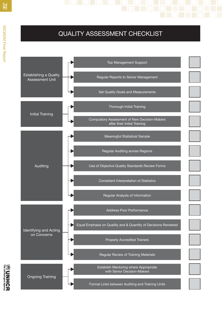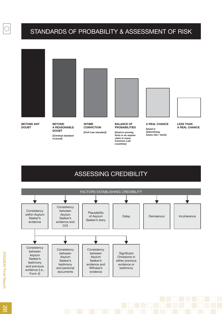#### STANDARDS OF PROBABILITY & ASSESSMENT OF RISK



**BEYOND ANY DOUBT**



**BEYOND A REASONABLE DOUBT**

**[Criminal standard of proof]**



**INTIME CONVICTION [Civil Law standard]**

**BALANCE OF PROBABILITIES**

**[Used in proving facts in an asylum claim in many Common Law countries]**



**A REAL CHANCE [Used in determining future risk / facts]**



**LESS THAN A REAL CHANCE**

#### ASSESSING CREDIBILITY